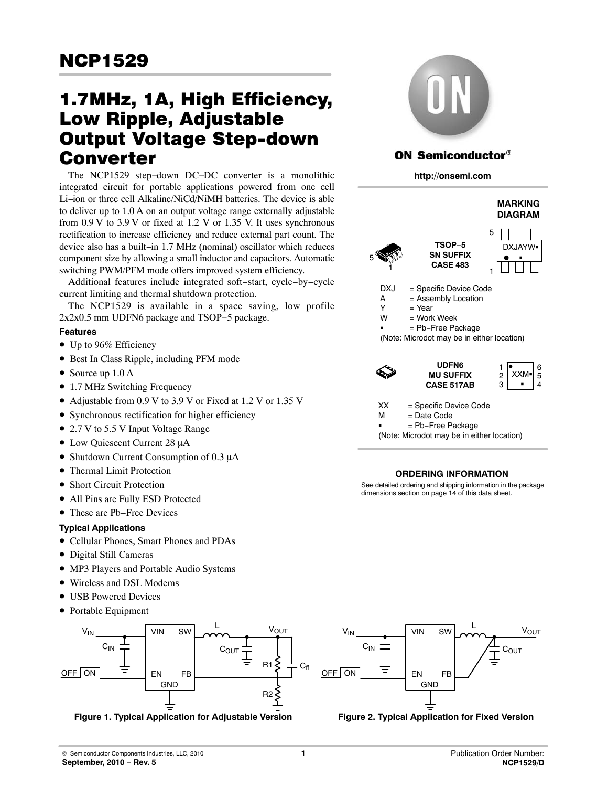# <span id="page-0-0"></span>1.7MHz, 1A, High Efficiency, Low Ripple, Adjustable Output Voltage Step-down Converter

The NCP1529 step−down DC−DC converter is a monolithic integrated circuit for portable applications powered from one cell Li−ion or three cell Alkaline/NiCd/NiMH batteries. The device is able to deliver up to 1.0 A on an output voltage range externally adjustable from  $0.9$  V to  $3.9$  V or fixed at  $1.2$  V or  $1.35$  V. It uses synchronous rectification to increase efficiency and reduce external part count. The device also has a built−in 1.7 MHz (nominal) oscillator which reduces component size by allowing a small inductor and capacitors. Automatic switching PWM/PFM mode offers improved system efficiency.

Additional features include integrated soft−start, cycle−by−cycle current limiting and thermal shutdown protection.

The NCP1529 is available in a space saving, low profile 2x2x0.5 mm UDFN6 package and TSOP−5 package.

### **Features**

- Up to 96% Efficiency
- Best In Class Ripple, including PFM mode
- Source up 1.0 A
- 1.7 MHz Switching Frequency
- Adjustable from 0.9 V to 3.9 V or Fixed at 1.2 V or 1.35 V
- Synchronous rectification for higher efficiency
- 2.7 V to 5.5 V Input Voltage Range
- Low Quiescent Current 28 µA
- Shutdown Current Consumption of  $0.3 \mu A$
- Thermal Limit Protection
- Short Circuit Protection
- All Pins are Fully ESD Protected
- These are Pb−Free Devices

### **Typical Applications**

- Cellular Phones, Smart Phones and PDAs
- Digital Still Cameras
- MP3 Players and Portable Audio Systems
- Wireless and DSL Modems
- USB Powered Devices
- Portable Equipment



**Figure 1. Typical Application for Adjustable Version**



# **ON Semiconductor®**

**http://onsemi.com**



(Note: Microdot may be in either location)

### **ORDERING INFORMATION**

See detailed ordering and shipping information in the package dimensions section on page [14](#page-13-0) of this data sheet.



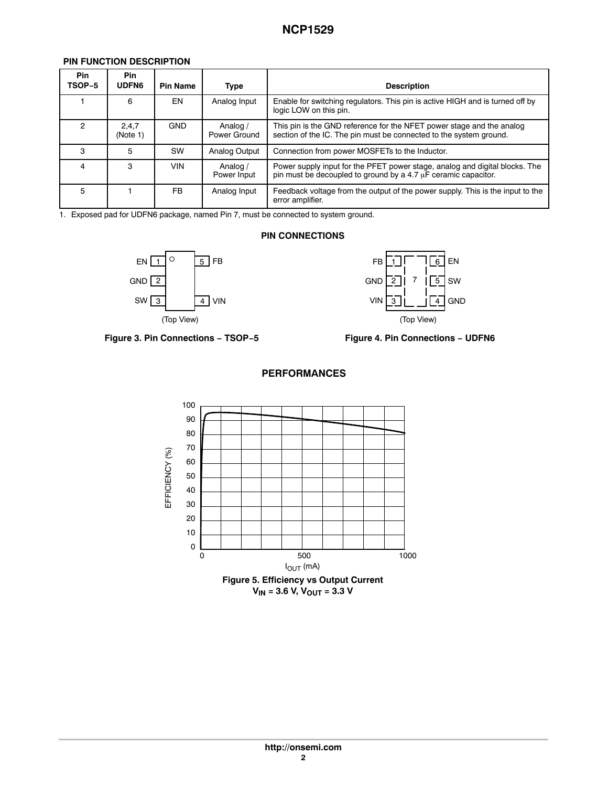### **PIN FUNCTION DESCRIPTION**

| <b>Pin</b><br>TSOP-5 | <b>Pin</b><br><b>UDFN6</b> | <b>Pin Name</b> | <b>Type</b>              | <b>Description</b>                                                                                                                            |
|----------------------|----------------------------|-----------------|--------------------------|-----------------------------------------------------------------------------------------------------------------------------------------------|
|                      | 6                          | EN              | Analog Input             | Enable for switching regulators. This pin is active HIGH and is turned off by<br>logic LOW on this pin.                                       |
| 2                    | 2,4,7<br>(Note 1)          | <b>GND</b>      | Analog /<br>Power Ground | This pin is the GND reference for the NFET power stage and the analog<br>section of the IC. The pin must be connected to the system ground.   |
| з                    | 5                          | SW              | Analog Output            | Connection from power MOSFETs to the Inductor.                                                                                                |
| 4                    | 3                          | VIN             | Analog /<br>Power Input  | Power supply input for the PFET power stage, analog and digital blocks. The<br>pin must be decoupled to ground by a 4.7 µF ceramic capacitor. |
| 5                    |                            | FB              | Analog Input             | Feedback voltage from the output of the power supply. This is the input to the<br>error amplifier.                                            |

1. Exposed pad for UDFN6 package, named Pin 7, must be connected to system ground.

### **PIN CONNECTIONS**





**Figure 3. Pin Connections − TSOP−5 Figure 4. Pin Connections − UDFN6**





### **PERFORMANCES**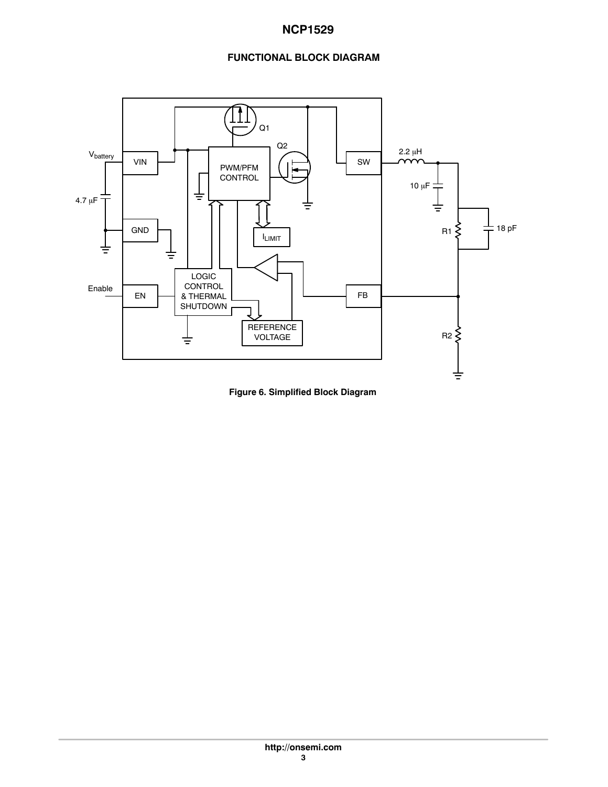### **FUNCTIONAL BLOCK DIAGRAM**



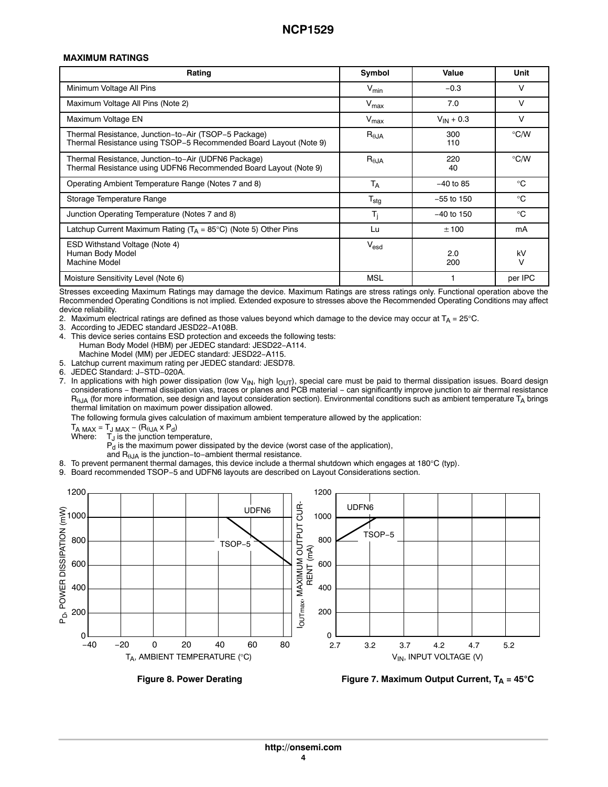### **MAXIMUM RATINGS**

| Rating                                                                                                                    | Symbol                      | Value          | Unit          |
|---------------------------------------------------------------------------------------------------------------------------|-----------------------------|----------------|---------------|
| Minimum Voltage All Pins                                                                                                  | $V_{min}$                   | $-0.3$         | ν             |
| Maximum Voltage All Pins (Note 2)                                                                                         | $V_{\text{max}}$            | 7.0            | v             |
| Maximum Voltage EN                                                                                                        | $V_{\text{max}}$            | $V_{IN} + 0.3$ | V             |
| Thermal Resistance, Junction-to-Air (TSOP-5 Package)<br>Thermal Resistance using TSOP-5 Recommended Board Layout (Note 9) | $R_{\theta$ JA              | 300<br>110     | $\degree$ C/W |
| Thermal Resistance, Junction-to-Air (UDFN6 Package)<br>Thermal Resistance using UDFN6 Recommended Board Layout (Note 9)   | $R_{\theta$ JA              | 220<br>40      | $\degree$ C/W |
| Operating Ambient Temperature Range (Notes 7 and 8)                                                                       | $T_A$                       | $-40$ to 85    | $^{\circ}C$   |
| Storage Temperature Range                                                                                                 | $\mathsf{T}_{\textsf{stg}}$ | $-55$ to 150   | °C            |
| Junction Operating Temperature (Notes 7 and 8)                                                                            | T <sub>j</sub>              | $-40$ to 150   | °C            |
| Latchup Current Maximum Rating $(T_A = 85^{\circ}C)$ (Note 5) Other Pins                                                  | Lu                          | ±100           | mA            |
| ESD Withstand Voltage (Note 4)<br>Human Body Model<br><b>Machine Model</b>                                                | $V_{\text{esd}}$            | 2.0<br>200     | kV<br>v       |
| Moisture Sensitivity Level (Note 6)                                                                                       | MSL                         |                | per IPC       |

Stresses exceeding Maximum Ratings may damage the device. Maximum Ratings are stress ratings only. Functional operation above the Recommended Operating Conditions is not implied. Extended exposure to stresses above the Recommended Operating Conditions may affect device reliability.

- 2. Maximum electrical ratings are defined as those values beyond which damage to the device may occur at  $T_A = 25^\circ C$ .
- 3. According to JEDEC standard JESD22−A108B.
- 4. This device series contains ESD protection and exceeds the following tests: Human Body Model (HBM) per JEDEC standard: JESD22−A114. Machine Model (MM) per JEDEC standard: JESD22−A115.
- 5. Latchup current maximum rating per JEDEC standard: JESD78.
- 6. JEDEC Standard: J−STD−020A.

7. In applications with high power dissipation (low V<sub>IN</sub>, high I<sub>OUT</sub>), special care must be paid to thermal dissipation issues. Board design<br>considerations – thermal dissipation vias, traces or planes and PCB material –  $R<sub>BJA</sub>$  (for more information, see design and layout consideration section). Environmental conditions such as ambient temperature  $T_A$  brings thermal limitation on maximum power dissipation allowed.

The following formula gives calculation of maximum ambient temperature allowed by the application:

 $T_{A \text{ MAX}} = T_{J \text{ MAX}} - (R_{\theta JA} \times P_{d})$ 

Where:  $T_J$  is the junction temperature,

 $P_d$  is the maximum power dissipated by the device (worst case of the application),

- and  $R_{\theta JA}$  is the junction-to-ambient thermal resistance.
- 8. To prevent permanent thermal damages, this device include a thermal shutdown which engages at 180°C (typ).

9. Board recommended TSOP−5 and UDFN6 layouts are described on Layout Considerations section.



**Figure 8. Power Derating**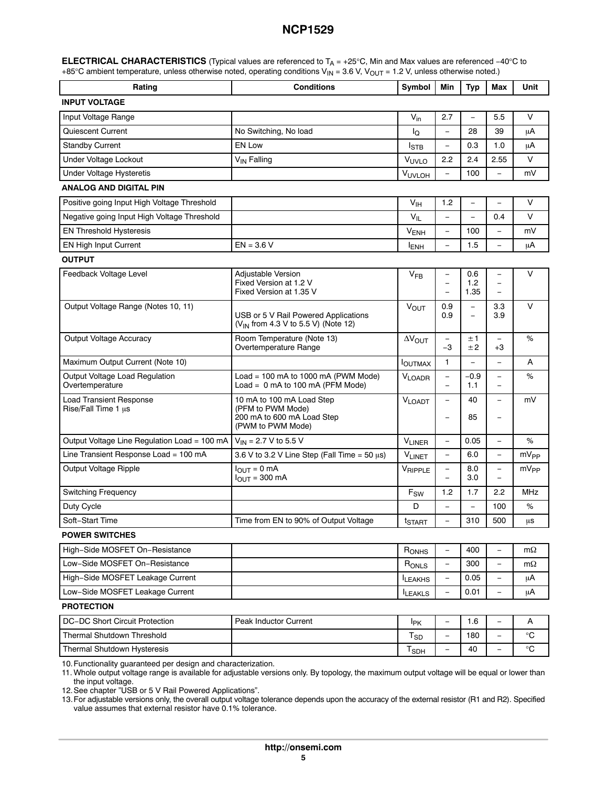| <b>ELECTRICAL CHARACTERISTICS</b> (Typical values are referenced to $T_A = +25^{\circ}$ C, Min and Max values are referenced -40°C to |
|---------------------------------------------------------------------------------------------------------------------------------------|
| +85°C ambient temperature, unless otherwise noted, operating conditions $V_{N}$ = 3.6 V, $V_{OUT}$ = 1.2 V, unless otherwise noted.)  |

| Rating                                                | <b>Conditions</b>                                                                                 |                            | Min                                                  | <b>Typ</b>           | Max                                                       | Unit              |  |
|-------------------------------------------------------|---------------------------------------------------------------------------------------------------|----------------------------|------------------------------------------------------|----------------------|-----------------------------------------------------------|-------------------|--|
| <b>INPUT VOLTAGE</b>                                  |                                                                                                   |                            |                                                      |                      |                                                           |                   |  |
| Input Voltage Range                                   |                                                                                                   | $V_{in}$                   | 2.7                                                  | $\equiv$             | 5.5                                                       | V                 |  |
| Quiescent Current                                     | No Switching, No load                                                                             | Ιo                         | $\overline{\phantom{0}}$                             | 28                   | 39                                                        | μA                |  |
| <b>Standby Current</b>                                | <b>EN Low</b>                                                                                     | Istb                       | $\overline{\phantom{0}}$                             | 0.3                  | 1.0                                                       | μA                |  |
| Under Voltage Lockout                                 | V <sub>IN</sub> Falling                                                                           | VUVLO                      | 2.2                                                  | 2.4                  | 2.55                                                      | V                 |  |
| <b>Under Voltage Hysteretis</b>                       |                                                                                                   | <b>VUVLOH</b>              | $\equiv$                                             | 100                  | L.                                                        | mV                |  |
| <b>ANALOG AND DIGITAL PIN</b>                         |                                                                                                   |                            |                                                      |                      |                                                           |                   |  |
| Positive going Input High Voltage Threshold           |                                                                                                   | V <sub>IH</sub>            | 1.2                                                  | $\equiv$             | $\overline{\phantom{0}}$                                  | V                 |  |
| Negative going Input High Voltage Threshold           |                                                                                                   | $V_{IL}$                   |                                                      |                      | 0.4                                                       | $\vee$            |  |
| <b>EN Threshold Hysteresis</b>                        |                                                                                                   | <b>VENH</b>                | $\overline{\phantom{0}}$                             | 100                  |                                                           | mV                |  |
| <b>EN High Input Current</b>                          | $EN = 3.6 V$                                                                                      | <b>ENH</b>                 | $\equiv$                                             | 1.5                  | $\equiv$                                                  | μA                |  |
| <b>OUTPUT</b>                                         |                                                                                                   |                            |                                                      |                      |                                                           |                   |  |
| Feedback Voltage Level                                | Adjustable Version<br>Fixed Version at 1.2 V<br>Fixed Version at 1.35 V                           | $V_{FB}$                   | $\qquad \qquad -$<br>$\equiv$                        | 0.6<br>1.2<br>1.35   | $\overline{\phantom{0}}$<br>$\qquad \qquad -$<br>$\equiv$ | $\vee$            |  |
| Output Voltage Range (Notes 10, 11)                   | USB or 5 V Rail Powered Applications<br>(V <sub>IN</sub> from 4.3 V to 5.5 V) (Note 12)           | <b>VOUT</b>                | 0.9<br>0.9                                           | $\equiv$<br>$\equiv$ | 3.3<br>3.9                                                | $\vee$            |  |
| Output Voltage Accuracy                               | Room Temperature (Note 13)<br>Overtemperature Range                                               | $\Delta V_{\text{OUT}}$    | $\qquad \qquad -$<br>-3                              | ±1<br>±2             | $\overline{\phantom{0}}$<br>$+3$                          | %                 |  |
| Maximum Output Current (Note 10)                      |                                                                                                   | <b>IOUTMAX</b>             | 1                                                    | $\equiv$             | $\overline{\phantom{0}}$                                  | A                 |  |
| Output Voltage Load Regulation<br>Overtemperature     | Load = 100 mA to 1000 mA (PWM Mode)<br>Load = $0$ mA to 100 mA (PFM Mode)                         | $V_{LOADR}$                | $\equiv$<br>$\equiv$                                 | $-0.9$<br>1.1        | $\overline{\phantom{0}}$<br>$\equiv$                      | %                 |  |
| <b>Load Transient Response</b><br>Rise/Fall Time 1 µs | 10 mA to 100 mA Load Step<br>(PFM to PWM Mode)<br>200 mA to 600 mA Load Step<br>(PWM to PWM Mode) | $V_{LOADT}$                | $\overline{\phantom{0}}$<br>$\overline{\phantom{0}}$ | 40<br>85             | $\overline{\phantom{0}}$<br>$\overline{\phantom{0}}$      | mV                |  |
| Output Voltage Line Regulation Load = 100 mA          | $V_{IN}$ = 2.7 V to 5.5 V                                                                         | $V_{LINER}$                | $\equiv$                                             | 0.05                 | $\equiv$                                                  | %                 |  |
| Line Transient Response Load = 100 mA                 | 3.6 V to 3.2 V Line Step (Fall Time = $50 \mu s$ )                                                | $V_{LINET}$                |                                                      | 6.0                  | $\overline{\phantom{0}}$                                  | mV <sub>PP</sub>  |  |
| Output Voltage Ripple                                 | $I_{OUT} = 0$ mA<br>$I_{OUT}$ = 300 mA                                                            | VRIPPLE                    | $\equiv$                                             | 8.0<br>3.0           | $\overline{\phantom{a}}$                                  | $mV_{PP}$         |  |
| <b>Switching Frequency</b>                            |                                                                                                   | $\mathsf{F}_{\mathsf{SW}}$ | 1.2                                                  | 1.7                  | 2.2                                                       | <b>MHz</b>        |  |
| Duty Cycle                                            |                                                                                                   | D                          | $\overline{\phantom{0}}$                             | $\equiv$             | 100                                                       | %                 |  |
| Soft-Start Time                                       | Time from EN to 90% of Output Voltage                                                             | t <sub>START</sub>         | $\overline{\phantom{0}}$                             | 310                  | 500                                                       | μS                |  |
| <b>POWER SWITCHES</b>                                 |                                                                                                   |                            |                                                      |                      |                                                           |                   |  |
| High-Side MOSFET On-Resistance                        |                                                                                                   | R <sub>ONHS</sub>          | $\overline{\phantom{0}}$                             | 400                  |                                                           | $m\Omega$         |  |
| Low-Side MOSFET On-Resistance                         |                                                                                                   | RONLS                      | $\qquad \qquad -$                                    | 300                  | $\overline{\phantom{a}}$                                  | $m\Omega$         |  |
| High-Side MOSFET Leakage Current                      |                                                                                                   | <b>ILEAKHS</b>             | $\qquad \qquad -$                                    | 0.05                 | $\overline{\phantom{0}}$                                  | μA                |  |
| Low-Side MOSFET Leakage Current                       |                                                                                                   | <b>ILEAKLS</b>             |                                                      | 0.01                 |                                                           | μA                |  |
| <b>PROTECTION</b>                                     |                                                                                                   |                            |                                                      |                      |                                                           |                   |  |
| DC-DC Short Circuit Protection                        | Peak Inductor Current                                                                             | <b>I</b> <sub>PK</sub>     | $\overline{\phantom{0}}$                             | 1.6                  |                                                           | A                 |  |
| Thermal Shutdown Threshold                            |                                                                                                   | $T_{SD}$                   | $\qquad \qquad -$                                    | 180                  | $\overline{\phantom{0}}$                                  | °C                |  |
| Thermal Shutdown Hysteresis                           |                                                                                                   | T <sub>SDH</sub>           |                                                      | 40                   |                                                           | $^\circ \text{C}$ |  |

10.Functionality guaranteed per design and characterization.

11. Whole output voltage range is available for adjustable versions only. By topology, the maximum output voltage will be equal or lower than the input voltage.

12.See chapter "USB or 5 V Rail Powered Applications".

13.For adjustable versions only, the overall output voltage tolerance depends upon the accuracy of the external resistor (R1 and R2). Specified value assumes that external resistor have 0.1% tolerance.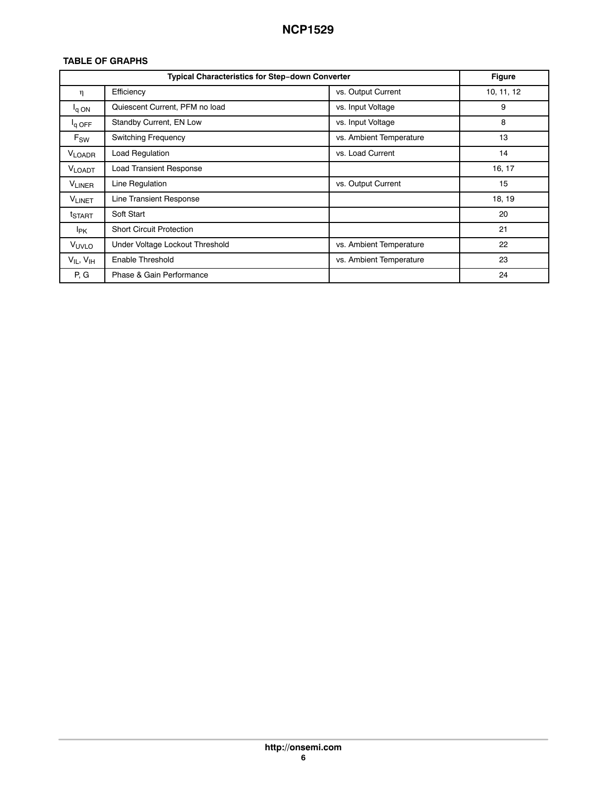### **TABLE OF GRAPHS**

|                        | Typical Characteristics for Step-down Converter |                         | <b>Figure</b> |
|------------------------|-------------------------------------------------|-------------------------|---------------|
| η                      | Efficiency                                      | vs. Output Current      | 10, 11, 12    |
| $I_q$ ON               | Quiescent Current, PFM no load                  | vs. Input Voltage       | 9             |
| $I_q$ OFF              | Standby Current, EN Low                         | vs. Input Voltage       | 8             |
| $F_{\text{SW}}$        | <b>Switching Frequency</b>                      | vs. Ambient Temperature | 13            |
| <b>VLOADR</b>          | Load Regulation                                 | vs. Load Current        | 14            |
| <b>VLOADT</b>          | <b>Load Transient Response</b>                  |                         | 16, 17        |
| <b>VLINER</b>          | Line Regulation                                 | vs. Output Current      | 15            |
| V <sub>LINET</sub>     | <b>Line Transient Response</b>                  |                         | 18, 19        |
| t <sub>START</sub>     | Soft Start                                      |                         | 20            |
| <b>I</b> <sub>PK</sub> | <b>Short Circuit Protection</b>                 |                         | 21            |
| V <sub>UVLO</sub>      | Under Voltage Lockout Threshold                 | vs. Ambient Temperature | 22            |
| $V_{IL}$ , $V_{IH}$    | Enable Threshold                                | vs. Ambient Temperature | 23            |
| P, G                   | Phase & Gain Performance                        |                         | 24            |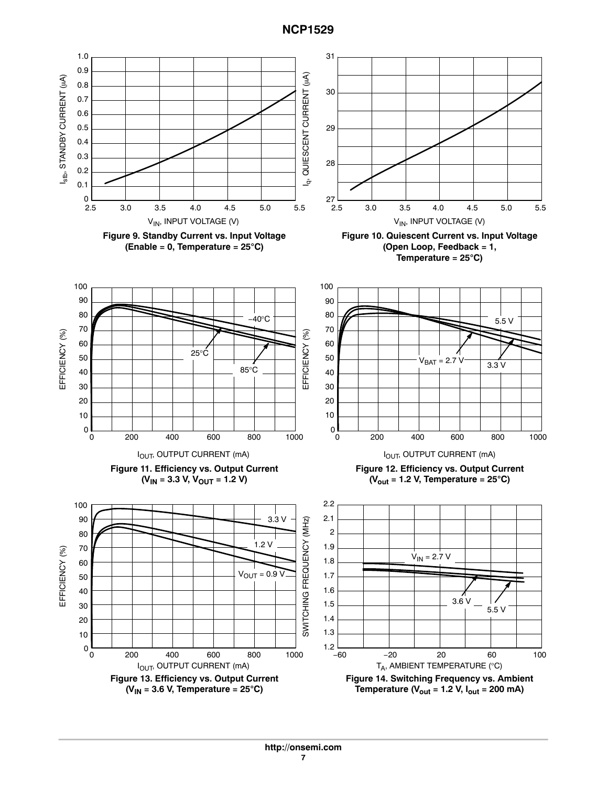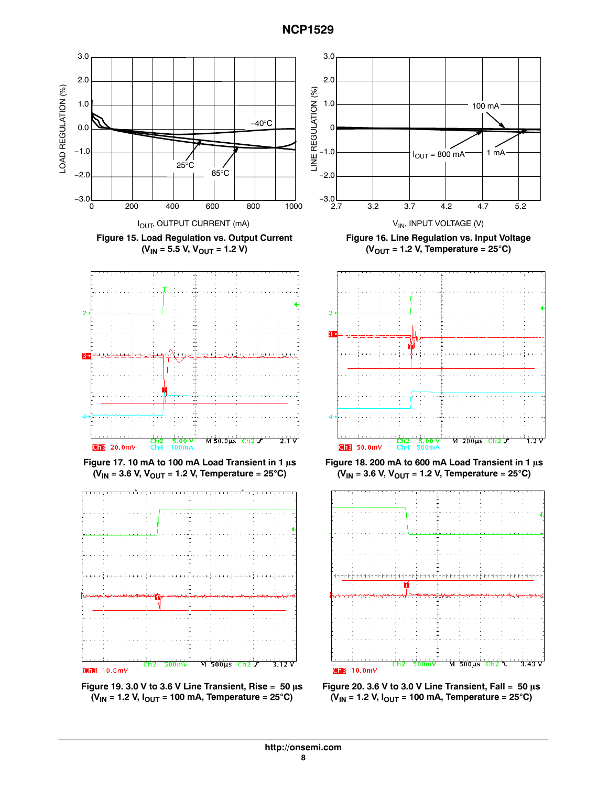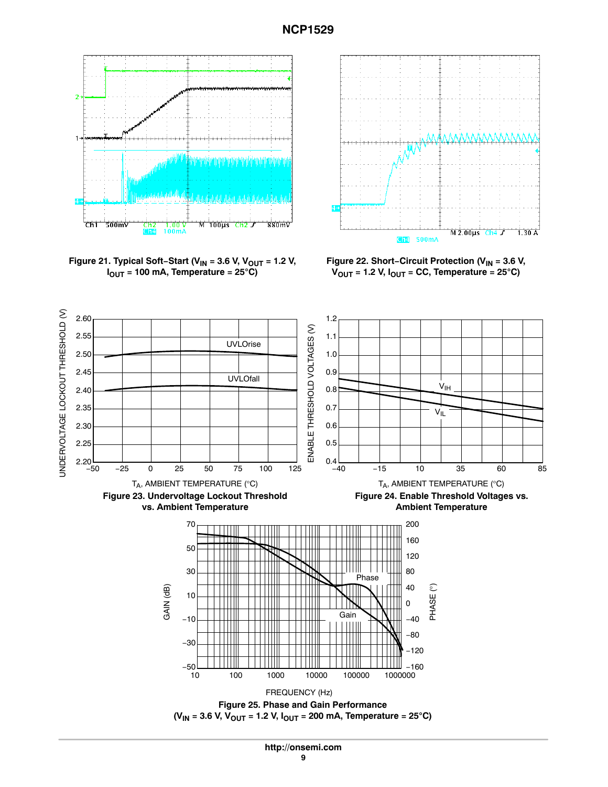

**Figure 21. Typical Soft**−Start (V<sub>IN</sub> = 3.6 V, V<sub>OUT</sub> = 1.2 V,<br>I<sub>OUT</sub> = 100 mA, Temperature = 25°C)  $I_{OUT}$  = 100 mA, Temperature = 25°C)



**Figure 22. Short−Circuit Protection (VIN = 3.6 V,** igure 22. Short–Circuit Protection (V<sub>IN</sub> = 3.6 <mark>\</mark><br>V<sub>OUT</sub> = 1.2 V, I<sub>OUT</sub> = CC, Temperature = 25°C)

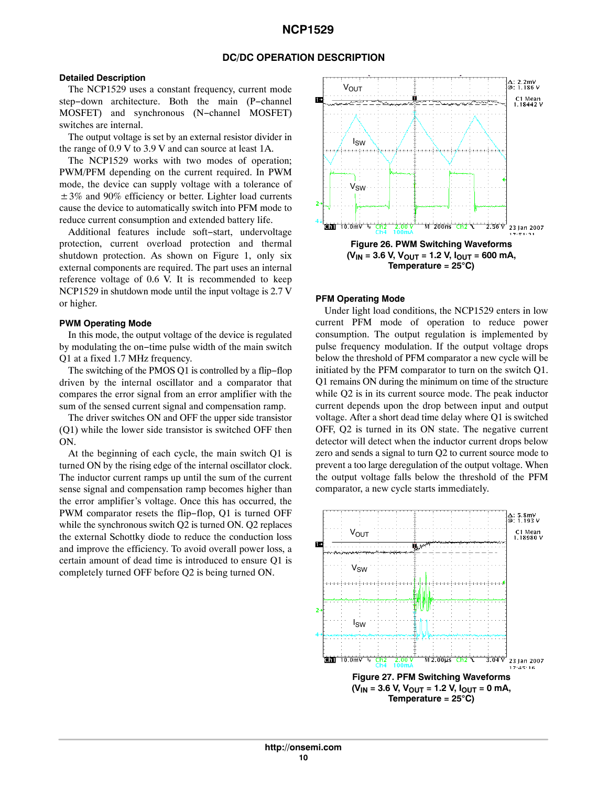#### **DC/DC OPERATION DESCRIPTION**

### **Detailed Description**

The NCP1529 uses a constant frequency, current mode step−down architecture. Both the main (P−channel MOSFET) and synchronous (N−channel MOSFET) switches are internal.

The output voltage is set by an external resistor divider in the range of 0.9 V to 3.9 V and can source at least 1A.

The NCP1529 works with two modes of operation; PWM/PFM depending on the current required. In PWM mode, the device can supply voltage with a tolerance of  $\pm 3\%$  and 90% efficiency or better. Lighter load currents cause the device to automatically switch into PFM mode to reduce current consumption and extended battery life.

Additional features include soft−start, undervoltage protection, current overload protection and thermal shutdown protection. As shown on Figure [1,](#page-0-0) only six external components are required. The part uses an internal reference voltage of 0.6 V. It is recommended to keep NCP1529 in shutdown mode until the input voltage is 2.7 V or higher.

#### **PWM Operating Mode**

In this mode, the output voltage of the device is regulated by modulating the on−time pulse width of the main switch Q1 at a fixed 1.7 MHz frequency.

The switching of the PMOS Q1 is controlled by a flip−flop driven by the internal oscillator and a comparator that compares the error signal from an error amplifier with the sum of the sensed current signal and compensation ramp.

The driver switches ON and OFF the upper side transistor (Q1) while the lower side transistor is switched OFF then ON.

At the beginning of each cycle, the main switch Q1 is turned ON by the rising edge of the internal oscillator clock. The inductor current ramps up until the sum of the current sense signal and compensation ramp becomes higher than the error amplifier's voltage. Once this has occurred, the PWM comparator resets the flip−flop, Q1 is turned OFF while the synchronous switch Q2 is turned ON. Q2 replaces the external Schottky diode to reduce the conduction loss and improve the efficiency. To avoid overall power loss, a certain amount of dead time is introduced to ensure Q1 is completely turned OFF before Q2 is being turned ON.



#### **PFM Operating Mode**

Under light load conditions, the NCP1529 enters in low current PFM mode of operation to reduce power consumption. The output regulation is implemented by pulse frequency modulation. If the output voltage drops below the threshold of PFM comparator a new cycle will be initiated by the PFM comparator to turn on the switch Q1. Q1 remains ON during the minimum on time of the structure while Q2 is in its current source mode. The peak inductor current depends upon the drop between input and output voltage. After a short dead time delay where Q1 is switched OFF, Q2 is turned in its ON state. The negative current detector will detect when the inductor current drops below zero and sends a signal to turn Q2 to current source mode to prevent a too large deregulation of the output voltage. When the output voltage falls below the threshold of the PFM comparator, a new cycle starts immediately.

![](_page_9_Figure_15.jpeg)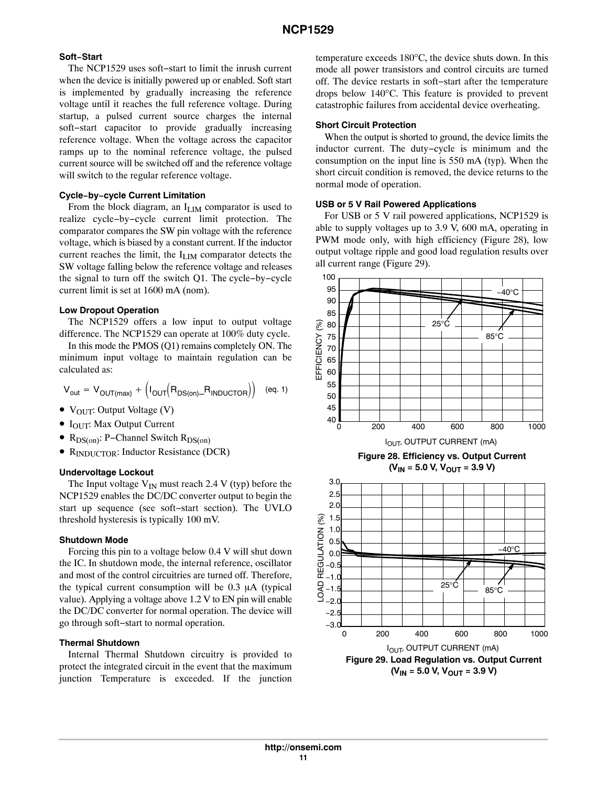### **Soft−Start**

The NCP1529 uses soft−start to limit the inrush current when the device is initially powered up or enabled. Soft start is implemented by gradually increasing the reference voltage until it reaches the full reference voltage. During startup, a pulsed current source charges the internal soft−start capacitor to provide gradually increasing reference voltage. When the voltage across the capacitor ramps up to the nominal reference voltage, the pulsed current source will be switched off and the reference voltage will switch to the regular reference voltage.

### **Cycle−by−cycle Current Limitation**

From the block diagram, an I<sub>LIM</sub> comparator is used to realize cycle−by−cycle current limit protection. The comparator compares the SW pin voltage with the reference voltage, which is biased by a constant current. If the inductor current reaches the limit, the ILIM comparator detects the SW voltage falling below the reference voltage and releases the signal to turn off the switch Q1. The cycle−by−cycle current limit is set at 1600 mA (nom).

### **Low Dropout Operation**

The NCP1529 offers a low input to output voltage difference. The NCP1529 can operate at 100% duty cycle.

In this mode the PMOS (Q1) remains completely ON. The minimum input voltage to maintain regulation can be calculated as:

$$
V_{out} = V_{OUT(max)} + \left(I_{OUT}\!\!\left(R_{DS(on)}\!\!-\!\!R_{INDUCTOR}\right)\right) \quad \text{(eq. 1)}
$$

- $V_{OUT}$ : Output Voltage (V)
- I<sub>OUT</sub>: Max Output Current
- RDS(on): P−Channel Switch RDS(on)
- RINDUCTOR: Inductor Resistance (DCR)

#### **Undervoltage Lockout**

The Input voltage  $V_{IN}$  must reach 2.4 V (typ) before the NCP1529 enables the DC/DC converter output to begin the start up sequence (see soft−start section). The UVLO threshold hysteresis is typically 100 mV.

#### **Shutdown Mode**

Forcing this pin to a voltage below 0.4 V will shut down the IC. In shutdown mode, the internal reference, oscillator and most of the control circuitries are turned off. Therefore, the typical current consumption will be  $0.3 \mu A$  (typical value). Applying a voltage above 1.2 V to EN pin will enable the DC/DC converter for normal operation. The device will go through soft−start to normal operation.

#### **Thermal Shutdown**

Internal Thermal Shutdown circuitry is provided to protect the integrated circuit in the event that the maximum junction Temperature is exceeded. If the junction temperature exceeds 180°C, the device shuts down. In this mode all power transistors and control circuits are turned off. The device restarts in soft−start after the temperature drops below 140°C. This feature is provided to prevent catastrophic failures from accidental device overheating.

### **Short Circuit Protection**

When the output is shorted to ground, the device limits the inductor current. The duty−cycle is minimum and the consumption on the input line is 550 mA (typ). When the short circuit condition is removed, the device returns to the normal mode of operation.

### **USB or 5 V Rail Powered Applications**

For USB or 5 V rail powered applications, NCP1529 is able to supply voltages up to 3.9 V, 600 mA, operating in PWM mode only, with high efficiency (Figure 28), low output voltage ripple and good load regulation results over all current range (Figure 29).

![](_page_10_Figure_24.jpeg)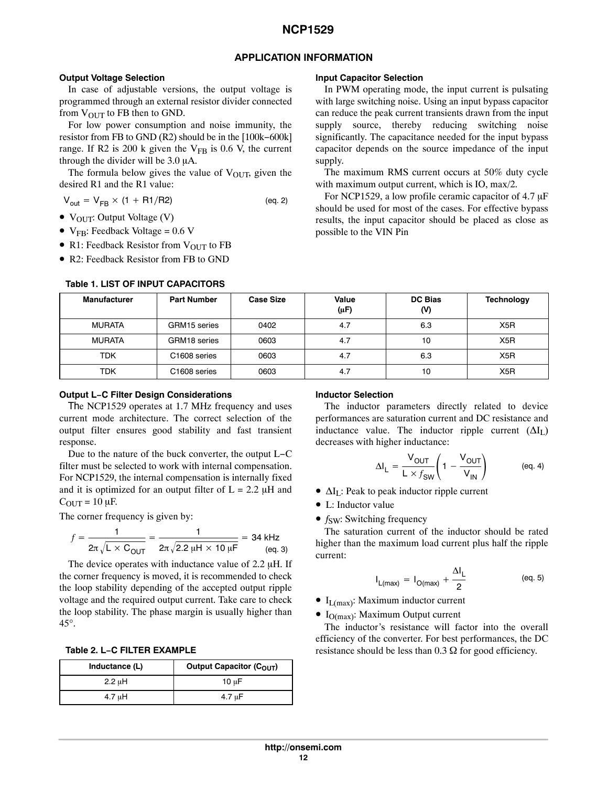### **APPLICATION INFORMATION**

### **Output Voltage Selection**

In case of adjustable versions, the output voltage is programmed through an external resistor divider connected from  $V_{\text{OUT}}$  to FB then to GND.

For low power consumption and noise immunity, the resistor from FB to GND (R2) should be in the [100k−600k] range. If R2 is 200 k given the  $V_{FB}$  is 0.6 V, the current through the divider will be  $3.0 \mu A$ .

The formula below gives the value of  $V_{\text{OUT}}$ , given the desired R1 and the R1 value:

 $V_{out} = V_{FB} \times (1 + R1/R2)$  (eq. 2)

• VOUT: Output Voltage (V)

- $V_{FB}$ : Feedback Voltage = 0.6 V
- R1: Feedback Resistor from V<sub>OUT</sub> to FB
- R2: Feedback Resistor from FB to GND

#### **Manufacturer Part Number Case Size Value (-F) DC Bias (V) Technology** MURATA | GRM15 series | 0402 | 4.7 | 6.3 | X5R MURATA | GRM18 series | 0603 | 4.7 | 10 | X5R TDK | C1608 series | 0603 | 4.7 | 6.3 | X5R TDK | C1608 series | 0603 | 4.7 | 10 | X5R

### **Table 1. LIST OF INPUT CAPACITORS**

### **Input Capacitor Selection**

In PWM operating mode, the input current is pulsating with large switching noise. Using an input bypass capacitor can reduce the peak current transients drawn from the input supply source, thereby reducing switching noise significantly. The capacitance needed for the input bypass capacitor depends on the source impedance of the input supply.

The maximum RMS current occurs at 50% duty cycle with maximum output current, which is IO, max/2.

For NCP1529, a low profile ceramic capacitor of  $4.7 \mu F$ should be used for most of the cases. For effective bypass results, the input capacitor should be placed as close as possible to the VIN Pin

## **Output L−C Filter Design Considerations**

The NCP1529 operates at 1.7 MHz frequency and uses current mode architecture. The correct selection of the output filter ensures good stability and fast transient response.

Due to the nature of the buck converter, the output L−C filter must be selected to work with internal compensation. For NCP1529, the internal compensation is internally fixed and it is optimized for an output filter of  $L = 2.2 \mu H$  and  $C_{\text{OUT}} = 10 \mu\text{F}$ .

The corner frequency is given by:

$$
f = \frac{1}{2\pi\sqrt{L \times C_{\text{OUT}}}} = \frac{1}{2\pi\sqrt{2.2 \ \mu\text{H} \times 10 \ \mu\text{F}}} = 34 \ \text{kHz}
$$
\n(eq. 3)

The device operates with inductance value of  $2.2 \mu$ H. If the corner frequency is moved, it is recommended to check the loop stability depending of the accepted output ripple voltage and the required output current. Take care to check the loop stability. The phase margin is usually higher than 45°.

**Table 2. L−C FILTER EXAMPLE**

| Inductance (L) | Output Capacitor (C <sub>OUT</sub> ) |
|----------------|--------------------------------------|
| $2.2 \mu H$    | 10 $\mu$ F                           |
| 4.7 uH         | 4.7 uF                               |

### **Inductor Selection**

The inductor parameters directly related to device performances are saturation current and DC resistance and inductance value. The inductor ripple current  $(\Delta I_{I})$ decreases with higher inductance:

$$
\Delta I_{L} = \frac{V_{OUT}}{L \times f_{SW}} \left( 1 - \frac{V_{OUT}}{V_{IN}} \right) \tag{eq. 4}
$$

- $\Delta I_L$ : Peak to peak inductor ripple current
- L: Inductor value
- *f<sub>SW</sub>*: Switching frequency

The saturation current of the inductor should be rated higher than the maximum load current plus half the ripple current:

$$
I_{L(max)} = I_{O(max)} + \frac{\Delta I_L}{2}
$$
 (eq. 5)

- $\bullet$  I<sub>L(max)</sub>: Maximum inductor current
- $\bullet$  I<sub>O(max)</sub>: Maximum Output current

The inductor's resistance will factor into the overall efficiency of the converter. For best performances, the DC resistance should be less than  $0.3 \Omega$  for good efficiency.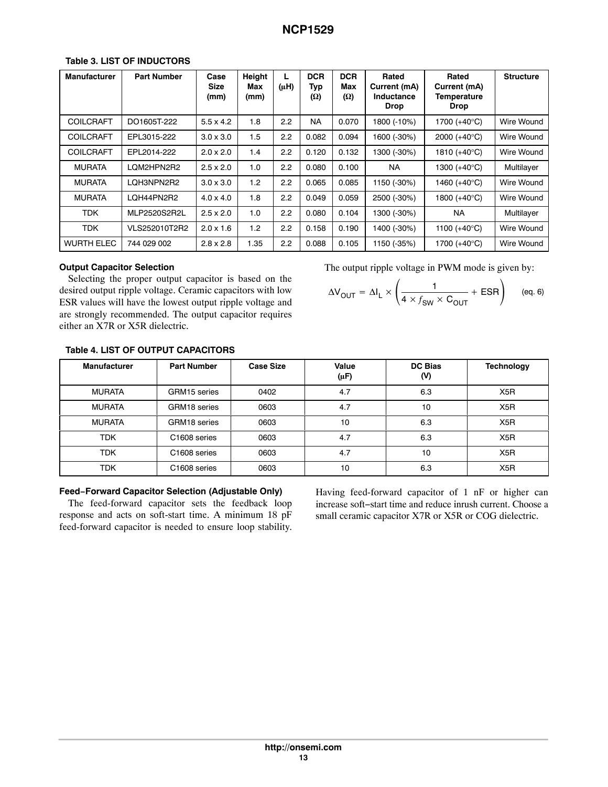| <b>Manufacturer</b> | <b>Part Number</b> | Case<br>Size<br>(mm) | Height<br>Max<br>(mm) | L<br>$(\mu H)$ | <b>DCR</b><br>Typ<br>(Ω) | <b>DCR</b><br>Max<br>(Ω) | Rated<br>Current (mA)<br>Inductance<br><b>Drop</b> | Rated<br>Current (mA)<br>Temperature<br><b>Drop</b> | <b>Structure</b> |
|---------------------|--------------------|----------------------|-----------------------|----------------|--------------------------|--------------------------|----------------------------------------------------|-----------------------------------------------------|------------------|
| <b>COILCRAFT</b>    | DO1605T-222        | $5.5 \times 4.2$     | 1.8                   | 2.2            | <b>NA</b>                | 0.070                    | 1800 (-10%)                                        | 1700 (+40°C)                                        | Wire Wound       |
| <b>COILCRAFT</b>    | EPL3015-222        | $3.0 \times 3.0$     | 1.5                   | 2.2            | 0.082                    | 0.094                    | 1600 (-30%)                                        | 2000 $(+40^{\circ}C)$                               | Wire Wound       |
| <b>COILCRAFT</b>    | EPL2014-222        | $2.0 \times 2.0$     | 1.4                   | 2.2            | 0.120                    | 0.132                    | 1300 (-30%)                                        | 1810 $(+40^{\circ}C)$                               | Wire Wound       |
| <b>MURATA</b>       | LOM2HPN2R2         | $2.5 \times 2.0$     | 1.0                   | 2.2            | 0.080                    | 0.100                    | <b>NA</b>                                          | 1300 $(+40^{\circ}C)$                               | Multilayer       |
| <b>MURATA</b>       | LQH3NPN2R2         | $3.0 \times 3.0$     | 1.2                   | 2.2            | 0.065                    | 0.085                    | 1150 (-30%)                                        | 1460 (+40°C)                                        | Wire Wound       |
| <b>MURATA</b>       | LQH44PN2R2         | $4.0 \times 4.0$     | 1.8                   | 2.2            | 0.049                    | 0.059                    | 2500 (-30%)                                        | 1800 $(+40^{\circ}C)$                               | Wire Wound       |
| <b>TDK</b>          | MLP2520S2R2L       | $2.5 \times 2.0$     | 1.0                   | 2.2            | 0.080                    | 0.104                    | 1300 (-30%)                                        | <b>NA</b>                                           | Multilayer       |
| <b>TDK</b>          | VLS252010T2R2      | $2.0 \times 1.6$     | 1.2                   | 2.2            | 0.158                    | 0.190                    | 1400 (-30%)                                        | 1100 (+40°C)                                        | Wire Wound       |
| <b>WURTH ELEC</b>   | 744 029 002        | $2.8 \times 2.8$     | 1.35                  | 2.2            | 0.088                    | 0.105                    | 1150 (-35%)                                        | 1700 (+40°C)                                        | Wire Wound       |

### **Table 3. LIST OF INDUCTORS**

### **Output Capacitor Selection**

Selecting the proper output capacitor is based on the desired output ripple voltage. Ceramic capacitors with low ESR values will have the lowest output ripple voltage and are strongly recommended. The output capacitor requires either an X7R or X5R dielectric.

The output ripple voltage in PWM mode is given by:

$$
\Delta V_{\text{OUT}} = \Delta I_{L} \times \left(\frac{1}{4 \times f_{\text{SW}} \times C_{\text{OUT}}} + \text{ESR}\right) \quad \text{(eq. 6)}
$$

## **Table 4. LIST OF OUTPUT CAPACITORS**

| <b>Manufacturer</b> | <b>Part Number</b>       | <b>Case Size</b> | Value<br>(µF) | <b>DC Bias</b><br>(V) | <b>Technology</b> |
|---------------------|--------------------------|------------------|---------------|-----------------------|-------------------|
| <b>MURATA</b>       | GRM15 series             | 0402             | 4.7           | 6.3                   | X <sub>5</sub> R  |
| <b>MURATA</b>       | GRM18 series             | 0603             | 4.7           | 10                    | X <sub>5</sub> R  |
| <b>MURATA</b>       | GRM18 series             | 0603             | 10            | 6.3                   | X <sub>5</sub> R  |
| <b>TDK</b>          | C <sub>1608</sub> series | 0603             | 4.7           | 6.3                   | X <sub>5</sub> R  |
| <b>TDK</b>          | C <sub>1608</sub> series | 0603             | 4.7           | 10                    | X <sub>5</sub> R  |
| <b>TDK</b>          | C <sub>1608</sub> series | 0603             | 10            | 6.3                   | X <sub>5</sub> R  |

### **Feed−Forward Capacitor Selection (Adjustable Only)**

The feed-forward capacitor sets the feedback loop response and acts on soft-start time. A minimum 18 pF feed-forward capacitor is needed to ensure loop stability.

Having feed-forward capacitor of 1 nF or higher can increase soft−start time and reduce inrush current. Choose a small ceramic capacitor X7R or X5R or COG dielectric.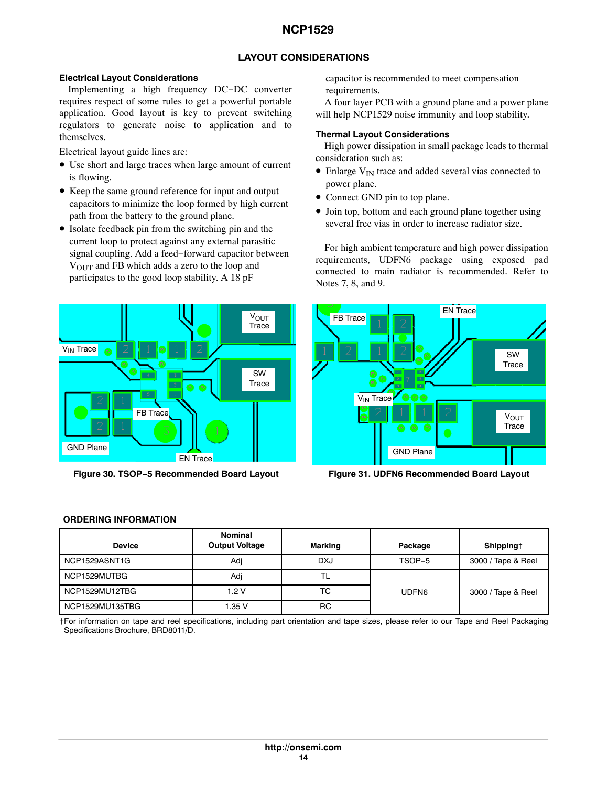### **LAYOUT CONSIDERATIONS**

### <span id="page-13-0"></span>**Electrical Layout Considerations**

Implementing a high frequency DC−DC converter requires respect of some rules to get a powerful portable application. Good layout is key to prevent switching regulators to generate noise to application and to themselves.

Electrical layout guide lines are:

- Use short and large traces when large amount of current is flowing.
- Keep the same ground reference for input and output capacitors to minimize the loop formed by high current path from the battery to the ground plane.
- Isolate feedback pin from the switching pin and the current loop to protect against any external parasitic signal coupling. Add a feed−forward capacitor between VOUT and FB which adds a zero to the loop and participates to the good loop stability. A 18 pF

![](_page_13_Figure_8.jpeg)

**Figure 30. TSOP−5 Recommended Board Layout Figure 31. UDFN6 Recommended Board Layout**

capacitor is recommended to meet compensation requirements.

A four layer PCB with a ground plane and a power plane will help NCP1529 noise immunity and loop stability.

### **Thermal Layout Considerations**

High power dissipation in small package leads to thermal consideration such as:

- $\bullet$  Enlarge  $V_{IN}$  trace and added several vias connected to power plane.
- Connect GND pin to top plane.
- Join top, bottom and each ground plane together using several free vias in order to increase radiator size.

For high ambient temperature and high power dissipation requirements, UDFN6 package using exposed pad connected to main radiator is recommended. Refer to Notes 7, 8, and 9.

![](_page_13_Figure_18.jpeg)

### **ORDERING INFORMATION**

| <b>Device</b>   | <b>Nominal</b><br><b>Output Voltage</b> | Marking    | Package | Shipping†          |
|-----------------|-----------------------------------------|------------|---------|--------------------|
| NCP1529ASNT1G   | Adj                                     | <b>DXJ</b> | TSOP-5  | 3000 / Tape & Reel |
| NCP1529MUTBG    | Adi                                     |            |         |                    |
| NCP1529MU12TBG  | 1.2V                                    | ТC         | UDFN6   | 3000 / Tape & Reel |
| NCP1529MU135TBG | 1.35 V                                  | <b>RC</b>  |         |                    |

†For information on tape and reel specifications, including part orientation and tape sizes, please refer to our Tape and Reel Packaging Specifications Brochure, BRD8011/D.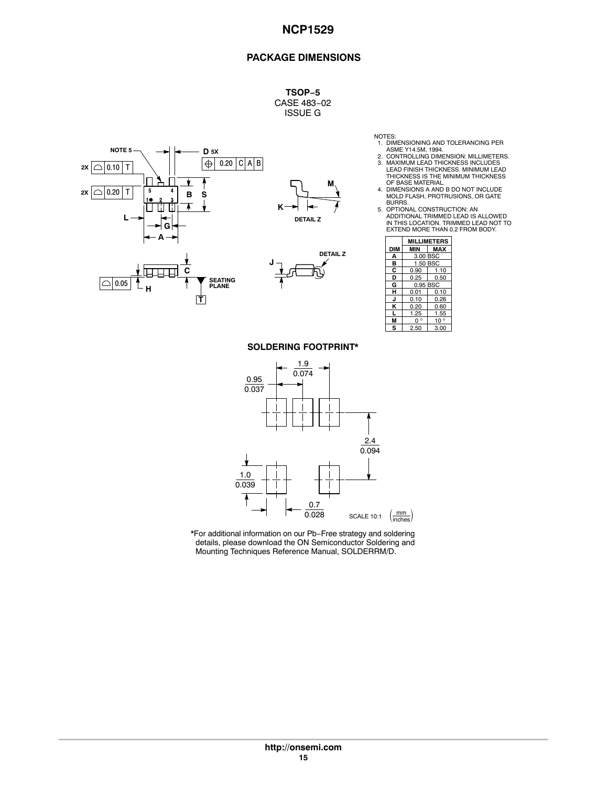### **PACKAGE DIMENSIONS**

**TSOP−5** CASE 483−02 ISSUE G

![](_page_14_Figure_3.jpeg)

**T**

![](_page_14_Figure_4.jpeg)

![](_page_14_Figure_5.jpeg)

- NOTES: 1. DIMENSIONING AND TOLERANCING PER
- ASME Y14.5M, 1994.<br>2. CONTROLLING DIMENSION: MILLIMETERS.<br>3. MAXIMUM LEAD THICKNESS INCLUDES<br>LEAD FINISH THICKNESS. MINIMUM LEAD<br>THICKNESS IS THE MINIMUM THICKNESS
- OF BASE MATERIAL. 4. DIMENSIONS A AND B DO NOT INCLUDE MOLD FLASH, PROTRUSIONS, OR GATE BURRS.
- 5. OPTIONAL CONSTRUCTION: AN<br>ADDITIONAL TRIMMED LEAD IS ALLOWED<br>IN THIS LOCATION. TRIMMED LEAD NOT TO<br>EXTEND MORE THAN 0.2 FROM BODY.

|            | <b>MILLIMETERS</b> |              |  |  |  |
|------------|--------------------|--------------|--|--|--|
| <b>DIM</b> | MIN                | <b>MAX</b>   |  |  |  |
| А          | 3.00 BSC           |              |  |  |  |
| в          | 1.50 BSC           |              |  |  |  |
| с          | 0.90               | 1.10         |  |  |  |
| D          | 0.25<br>0.50       |              |  |  |  |
| G          |                    | 0.95 BSC     |  |  |  |
| н          | 0.01               | 0.10         |  |  |  |
| J          | 0.10               | 0.26         |  |  |  |
| ĸ          | 0.20               | 0.60         |  |  |  |
| L          | 1.25               | 1.55         |  |  |  |
|            | n 。                | $10^{\circ}$ |  |  |  |
| s          | 2.50               | 3.00         |  |  |  |

**SOLDERING FOOTPRINT\***

![](_page_14_Figure_13.jpeg)

\*For additional information on our Pb−Free strategy and soldering details, please download the ON Semiconductor Soldering and Mounting Techniques Reference Manual, SOLDERRM/D.